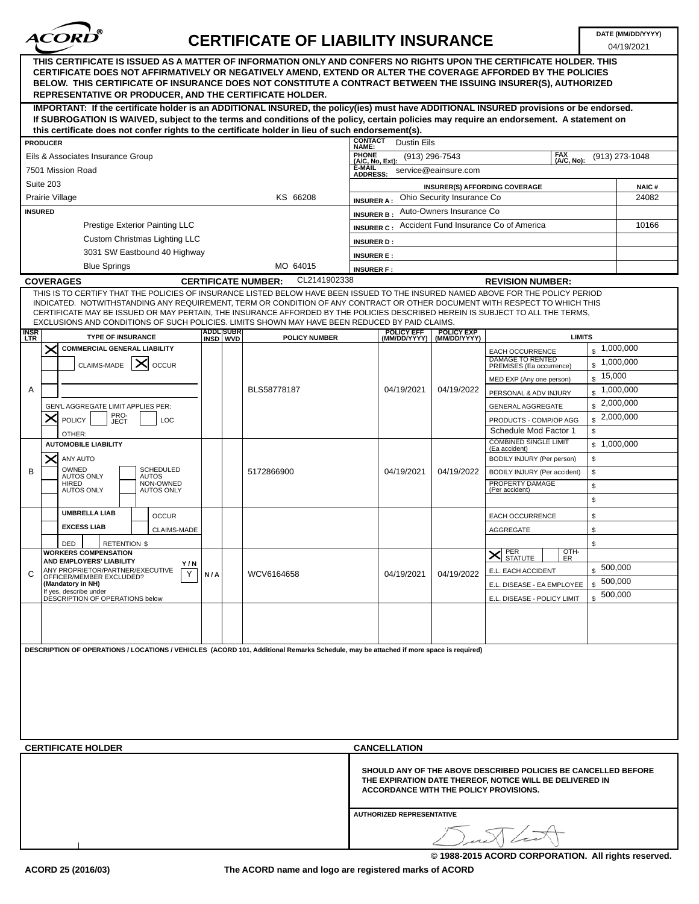

## **CERTIFICATE OF LIABILITY INSURANCE**

04/19/2021

| THIS CERTIFICATE IS ISSUED AS A MATTER OF INFORMATION ONLY AND CONFERS NO RIGHTS UPON THE CERTIFICATE HOLDER. THIS<br>CERTIFICATE DOES NOT AFFIRMATIVELY OR NEGATIVELY AMEND. EXTEND OR ALTER THE COVERAGE AFFORDED BY THE POLICIES<br>BELOW. THIS CERTIFICATE OF INSURANCE DOES NOT CONSTITUTE A CONTRACT BETWEEN THE ISSUING INSURER(S), AUTHORIZED<br><b>REPRESENTATIVE OR PRODUCER, AND THE CERTIFICATE HOLDER.</b>                                                                            |                                                          |                                                                                            |                                   |                                                              |                        |  |  |  |  |  |  |  |
|----------------------------------------------------------------------------------------------------------------------------------------------------------------------------------------------------------------------------------------------------------------------------------------------------------------------------------------------------------------------------------------------------------------------------------------------------------------------------------------------------|----------------------------------------------------------|--------------------------------------------------------------------------------------------|-----------------------------------|--------------------------------------------------------------|------------------------|--|--|--|--|--|--|--|
| IMPORTANT: If the certificate holder is an ADDITIONAL INSURED, the policy(ies) must have ADDITIONAL INSURED provisions or be endorsed.<br>If SUBROGATION IS WAIVED, subject to the terms and conditions of the policy, certain policies may require an endorsement. A statement on                                                                                                                                                                                                                 |                                                          |                                                                                            |                                   |                                                              |                        |  |  |  |  |  |  |  |
| this certificate does not confer rights to the certificate holder in lieu of such endorsement(s).                                                                                                                                                                                                                                                                                                                                                                                                  |                                                          |                                                                                            |                                   |                                                              |                        |  |  |  |  |  |  |  |
| <b>PRODUCER</b>                                                                                                                                                                                                                                                                                                                                                                                                                                                                                    |                                                          | <b>CONTACT</b><br><b>Dustin Eils</b><br><b>NAME:</b>                                       |                                   |                                                              |                        |  |  |  |  |  |  |  |
| Eils & Associates Insurance Group                                                                                                                                                                                                                                                                                                                                                                                                                                                                  |                                                          | <b>FAX</b><br>PHONE<br>(A/C, No, Ext):<br>$(913)$ 296-7543<br>(913) 273-1048<br>(A/C, No): |                                   |                                                              |                        |  |  |  |  |  |  |  |
| 7501 Mission Road                                                                                                                                                                                                                                                                                                                                                                                                                                                                                  | <b>E-MAIL</b><br>service@eainsure.com<br><b>ADDRESS:</b> |                                                                                            |                                   |                                                              |                        |  |  |  |  |  |  |  |
| Suite 203                                                                                                                                                                                                                                                                                                                                                                                                                                                                                          | <b>INSURER(S) AFFORDING COVERAGE</b><br><b>NAIC#</b>     |                                                                                            |                                   |                                                              |                        |  |  |  |  |  |  |  |
| Prairie Village                                                                                                                                                                                                                                                                                                                                                                                                                                                                                    | Ohio Security Insurance Co<br>24082<br><b>INSURER A:</b> |                                                                                            |                                   |                                                              |                        |  |  |  |  |  |  |  |
| <b>INSURED</b>                                                                                                                                                                                                                                                                                                                                                                                                                                                                                     | Auto-Owners Insurance Co<br><b>INSURER B:</b>            |                                                                                            |                                   |                                                              |                        |  |  |  |  |  |  |  |
| Prestige Exterior Painting LLC                                                                                                                                                                                                                                                                                                                                                                                                                                                                     |                                                          | Accident Fund Insurance Co of America<br><b>INSURER C:</b>                                 | 10166                             |                                                              |                        |  |  |  |  |  |  |  |
| <b>Custom Christmas Lighting LLC</b>                                                                                                                                                                                                                                                                                                                                                                                                                                                               |                                                          | <b>INSURER D:</b>                                                                          |                                   |                                                              |                        |  |  |  |  |  |  |  |
| 3031 SW Eastbound 40 Highway                                                                                                                                                                                                                                                                                                                                                                                                                                                                       |                                                          | <b>INSURER E:</b>                                                                          |                                   |                                                              |                        |  |  |  |  |  |  |  |
| <b>Blue Springs</b>                                                                                                                                                                                                                                                                                                                                                                                                                                                                                | MO 64015                                                 | <b>INSURER F:</b>                                                                          |                                   |                                                              |                        |  |  |  |  |  |  |  |
| CL2141902338<br><b>COVERAGES</b><br><b>CERTIFICATE NUMBER:</b><br><b>REVISION NUMBER:</b>                                                                                                                                                                                                                                                                                                                                                                                                          |                                                          |                                                                                            |                                   |                                                              |                        |  |  |  |  |  |  |  |
| THIS IS TO CERTIFY THAT THE POLICIES OF INSURANCE LISTED BELOW HAVE BEEN ISSUED TO THE INSURED NAMED ABOVE FOR THE POLICY PERIOD<br>INDICATED. NOTWITHSTANDING ANY REQUIREMENT, TERM OR CONDITION OF ANY CONTRACT OR OTHER DOCUMENT WITH RESPECT TO WHICH THIS<br>CERTIFICATE MAY BE ISSUED OR MAY PERTAIN, THE INSURANCE AFFORDED BY THE POLICIES DESCRIBED HEREIN IS SUBJECT TO ALL THE TERMS.<br>EXCLUSIONS AND CONDITIONS OF SUCH POLICIES. LIMITS SHOWN MAY HAVE BEEN REDUCED BY PAID CLAIMS. |                                                          |                                                                                            |                                   |                                                              |                        |  |  |  |  |  |  |  |
| <b>INSR</b><br>LTR<br><b>TYPE OF INSURANCE</b>                                                                                                                                                                                                                                                                                                                                                                                                                                                     | ADDL SUBR<br>INSD WVD<br><b>POLICY NUMBER</b>            | <b>POLICY EFF</b><br>(MM/DD/YYYY)                                                          | <b>POLICY EXP</b><br>(MM/DD/YYYY) | <b>LIMITS</b>                                                |                        |  |  |  |  |  |  |  |
| <b>COMMERCIAL GENERAL LIABILITY</b><br>$\times$                                                                                                                                                                                                                                                                                                                                                                                                                                                    |                                                          |                                                                                            |                                   | <b>EACH OCCURRENCE</b>                                       | $\frac{1}{2}$ ,000,000 |  |  |  |  |  |  |  |
| CLAIMS-MADE<br>∣×<br><b>OCCUR</b>                                                                                                                                                                                                                                                                                                                                                                                                                                                                  |                                                          |                                                                                            |                                   | DAMAGE TO RENTED<br>$\mathbf{s}$<br>PREMISES (Ea occurrence) | 1,000,000              |  |  |  |  |  |  |  |
|                                                                                                                                                                                                                                                                                                                                                                                                                                                                                                    |                                                          |                                                                                            |                                   | \$<br>MED EXP (Any one person)                               | 15,000                 |  |  |  |  |  |  |  |
| A                                                                                                                                                                                                                                                                                                                                                                                                                                                                                                  | BLS58778187                                              | 04/19/2021                                                                                 | 04/19/2022                        | $\mathbf{s}$<br>PERSONAL & ADV INJURY                        | 1,000,000              |  |  |  |  |  |  |  |
| GEN'L AGGREGATE LIMIT APPLIES PER:                                                                                                                                                                                                                                                                                                                                                                                                                                                                 |                                                          |                                                                                            |                                   | GENERAL AGGREGATE                                            | $\frac{1}{2}$ ,000,000 |  |  |  |  |  |  |  |
| PRO-<br>JECT<br>X<br><b>POLICY</b><br>LOC                                                                                                                                                                                                                                                                                                                                                                                                                                                          |                                                          |                                                                                            |                                   | PRODUCTS - COMP/OP AGG                                       | $\frac{1}{2}$ ,000,000 |  |  |  |  |  |  |  |
| OTHER:<br><b>AUTOMOBILE LIABILITY</b>                                                                                                                                                                                                                                                                                                                                                                                                                                                              |                                                          |                                                                                            |                                   | Schedule Mod Factor 1<br><b>COMBINED SINGLE LIMIT</b>        | \$                     |  |  |  |  |  |  |  |
| ANY AUTO                                                                                                                                                                                                                                                                                                                                                                                                                                                                                           |                                                          |                                                                                            |                                   | (Ea accident)<br>\$<br>BODILY INJURY (Per person)            | \$1,000,000            |  |  |  |  |  |  |  |
| ×<br>OWNED<br><b>SCHEDULED</b><br>B                                                                                                                                                                                                                                                                                                                                                                                                                                                                | 5172866900                                               | 04/19/2021                                                                                 | 04/19/2022                        | \$<br>BODILY INJURY (Per accident)                           |                        |  |  |  |  |  |  |  |
| AUTOS ONLY<br><b>AUTOS</b><br>NON-OWNED<br>HIRED                                                                                                                                                                                                                                                                                                                                                                                                                                                   |                                                          |                                                                                            |                                   | PROPERTY DAMAGE<br>\$                                        |                        |  |  |  |  |  |  |  |
| <b>AUTOS ONLY</b><br><b>AUTOS ONLY</b>                                                                                                                                                                                                                                                                                                                                                                                                                                                             |                                                          |                                                                                            |                                   | (Per accident)<br>\$                                         |                        |  |  |  |  |  |  |  |
| <b>UMBRELLA LIAB</b><br><b>OCCUR</b>                                                                                                                                                                                                                                                                                                                                                                                                                                                               |                                                          |                                                                                            |                                   | EACH OCCURRENCE<br>\$                                        |                        |  |  |  |  |  |  |  |
| <b>EXCESS LIAB</b><br><b>CLAIMS-MADE</b>                                                                                                                                                                                                                                                                                                                                                                                                                                                           |                                                          |                                                                                            |                                   | \$<br>AGGREGATE                                              |                        |  |  |  |  |  |  |  |
| DED<br><b>RETENTION \$</b>                                                                                                                                                                                                                                                                                                                                                                                                                                                                         |                                                          |                                                                                            |                                   | \$                                                           |                        |  |  |  |  |  |  |  |
| <b>WORKERS COMPENSATION</b>                                                                                                                                                                                                                                                                                                                                                                                                                                                                        |                                                          |                                                                                            |                                   | OTH-<br>PER<br>STATUTE<br>$\bm{\times}$<br>ER                |                        |  |  |  |  |  |  |  |
| AND EMPLOYERS' LIABILITY<br>Y/N<br>ANY PROPRIETOR/PARTNER/EXECUTIVE<br>Y<br>C                                                                                                                                                                                                                                                                                                                                                                                                                      | WCV6164658                                               | 04/19/2021                                                                                 | 04/19/2022                        | E.L. EACH ACCIDENT                                           | \$500,000              |  |  |  |  |  |  |  |
| N/A<br>OFFICER/MEMBER EXCLUDED?<br>(Mandatory in NH)                                                                                                                                                                                                                                                                                                                                                                                                                                               |                                                          |                                                                                            |                                   | E.L. DISEASE - EA EMPLOYEE                                   | \$500,000              |  |  |  |  |  |  |  |
| If yes, describe under<br>DESCRIPTION OF OPERATIONS below                                                                                                                                                                                                                                                                                                                                                                                                                                          |                                                          |                                                                                            |                                   | E.L. DISEASE - POLICY LIMIT                                  | \$500,000              |  |  |  |  |  |  |  |
|                                                                                                                                                                                                                                                                                                                                                                                                                                                                                                    |                                                          |                                                                                            |                                   |                                                              |                        |  |  |  |  |  |  |  |
|                                                                                                                                                                                                                                                                                                                                                                                                                                                                                                    |                                                          |                                                                                            |                                   |                                                              |                        |  |  |  |  |  |  |  |
|                                                                                                                                                                                                                                                                                                                                                                                                                                                                                                    |                                                          |                                                                                            |                                   |                                                              |                        |  |  |  |  |  |  |  |
| DESCRIPTION OF OPERATIONS / LOCATIONS / VEHICLES (ACORD 101, Additional Remarks Schedule, may be attached if more space is required)                                                                                                                                                                                                                                                                                                                                                               |                                                          |                                                                                            |                                   |                                                              |                        |  |  |  |  |  |  |  |
|                                                                                                                                                                                                                                                                                                                                                                                                                                                                                                    |                                                          |                                                                                            |                                   |                                                              |                        |  |  |  |  |  |  |  |
|                                                                                                                                                                                                                                                                                                                                                                                                                                                                                                    |                                                          |                                                                                            |                                   |                                                              |                        |  |  |  |  |  |  |  |
|                                                                                                                                                                                                                                                                                                                                                                                                                                                                                                    |                                                          |                                                                                            |                                   |                                                              |                        |  |  |  |  |  |  |  |
|                                                                                                                                                                                                                                                                                                                                                                                                                                                                                                    |                                                          |                                                                                            |                                   |                                                              |                        |  |  |  |  |  |  |  |
|                                                                                                                                                                                                                                                                                                                                                                                                                                                                                                    |                                                          |                                                                                            |                                   |                                                              |                        |  |  |  |  |  |  |  |
|                                                                                                                                                                                                                                                                                                                                                                                                                                                                                                    |                                                          |                                                                                            |                                   |                                                              |                        |  |  |  |  |  |  |  |
| <b>CERTIFICATE HOLDER</b>                                                                                                                                                                                                                                                                                                                                                                                                                                                                          |                                                          | <b>CANCELLATION</b>                                                                        |                                   |                                                              |                        |  |  |  |  |  |  |  |
| SHOULD ANY OF THE ABOVE DESCRIBED POLICIES BE CANCELLED BEFORE<br>THE EXPIRATION DATE THEREOF, NOTICE WILL BE DELIVERED IN<br><b>ACCORDANCE WITH THE POLICY PROVISIONS.</b>                                                                                                                                                                                                                                                                                                                        |                                                          |                                                                                            |                                   |                                                              |                        |  |  |  |  |  |  |  |
|                                                                                                                                                                                                                                                                                                                                                                                                                                                                                                    |                                                          | <b>AUTHORIZED REPRESENTATIVE</b>                                                           |                                   |                                                              |                        |  |  |  |  |  |  |  |
|                                                                                                                                                                                                                                                                                                                                                                                                                                                                                                    |                                                          | Dunt Link                                                                                  |                                   |                                                              |                        |  |  |  |  |  |  |  |

**© 1988-2015 ACORD CORPORATION. All rights reserved.**